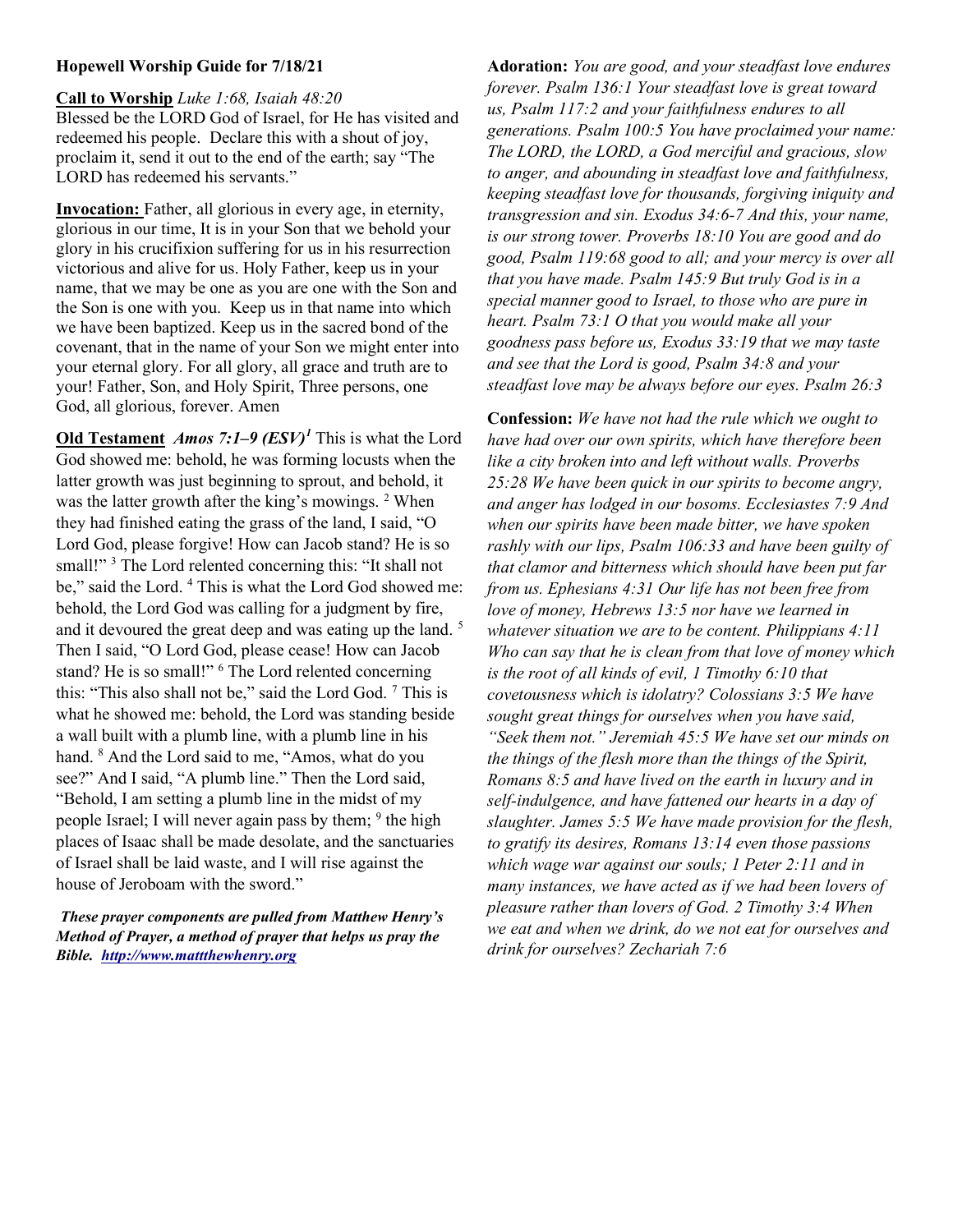## Hopewell Worship Guide for 7/18/21

Call to Worship Luke 1:68, Isaiah 48:20 Blessed be the LORD God of Israel, for He has visited and redeemed his people. Declare this with a shout of joy, proclaim it, send it out to the end of the earth; say "The LORD has redeemed his servants."

Invocation: Father, all glorious in every age, in eternity, glorious in our time, It is in your Son that we behold your glory in his crucifixion suffering for us in his resurrection victorious and alive for us. Holy Father, keep us in your name, that we may be one as you are one with the Son and the Son is one with you. Keep us in that name into which we have been baptized. Keep us in the sacred bond of the covenant, that in the name of your Son we might enter into your eternal glory. For all glory, all grace and truth are to your! Father, Son, and Holy Spirit, Three persons, one God, all glorious, forever. Amen

Old Testament *Amos 7:1–9 (ESV)<sup>1</sup>* This is what the Lord God showed me: behold, he was forming locusts when the latter growth was just beginning to sprout, and behold, it was the latter growth after the king's mowings. <sup>2</sup> When they had finished eating the grass of the land, I said, "O Lord God, please forgive! How can Jacob stand? He is so small!"<sup>3</sup> The Lord relented concerning this: "It shall not be," said the Lord.<sup>4</sup> This is what the Lord God showed me: behold, the Lord God was calling for a judgment by fire, and it devoured the great deep and was eating up the land.<sup>5</sup> Then I said, "O Lord God, please cease! How can Jacob stand? He is so small!" <sup>6</sup> The Lord relented concerning this: "This also shall not be," said the Lord God. 7 This is what he showed me: behold, the Lord was standing beside a wall built with a plumb line, with a plumb line in his hand. <sup>8</sup> And the Lord said to me, "Amos, what do you see?" And I said, "A plumb line." Then the Lord said, "Behold, I am setting a plumb line in the midst of my people Israel; I will never again pass by them; <sup>9</sup> the high places of Isaac shall be made desolate, and the sanctuaries of Israel shall be laid waste, and I will rise against the house of Jeroboam with the sword."

These prayer components are pulled from Matthew Henry's Method of Prayer, a method of prayer that helps us pray the Bible. http://www.mattthewhenry.org

Adoration: You are good, and your steadfast love endures forever. Psalm 136:1 Your steadfast love is great toward us, Psalm 117:2 and your faithfulness endures to all generations. Psalm 100:5 You have proclaimed your name: The LORD, the LORD, a God merciful and gracious, slow to anger, and abounding in steadfast love and faithfulness, keeping steadfast love for thousands, forgiving iniquity and transgression and sin. Exodus 34:6-7 And this, your name, is our strong tower. Proverbs 18:10 You are good and do good, Psalm 119:68 good to all; and your mercy is over all that you have made. Psalm 145:9 But truly God is in a special manner good to Israel, to those who are pure in heart. Psalm 73:1 O that you would make all your goodness pass before us, Exodus 33:19 that we may taste and see that the Lord is good, Psalm 34:8 and your steadfast love may be always before our eyes. Psalm 26:3

Confession: We have not had the rule which we ought to have had over our own spirits, which have therefore been like a city broken into and left without walls. Proverbs 25:28 We have been quick in our spirits to become angry, and anger has lodged in our bosoms. Ecclesiastes 7:9 And when our spirits have been made bitter, we have spoken rashly with our lips, Psalm 106:33 and have been guilty of that clamor and bitterness which should have been put far from us. Ephesians 4:31 Our life has not been free from love of money, Hebrews 13:5 nor have we learned in whatever situation we are to be content. Philippians 4:11 Who can say that he is clean from that love of money which is the root of all kinds of evil, 1 Timothy 6:10 that covetousness which is idolatry? Colossians 3:5 We have sought great things for ourselves when you have said, "Seek them not." Jeremiah 45:5 We have set our minds on the things of the flesh more than the things of the Spirit, Romans 8:5 and have lived on the earth in luxury and in self-indulgence, and have fattened our hearts in a day of slaughter. James 5:5 We have made provision for the flesh, to gratify its desires, Romans 13:14 even those passions which wage war against our souls; 1 Peter 2:11 and in many instances, we have acted as if we had been lovers of pleasure rather than lovers of God. 2 Timothy 3:4 When we eat and when we drink, do we not eat for ourselves and drink for ourselves? Zechariah 7:6